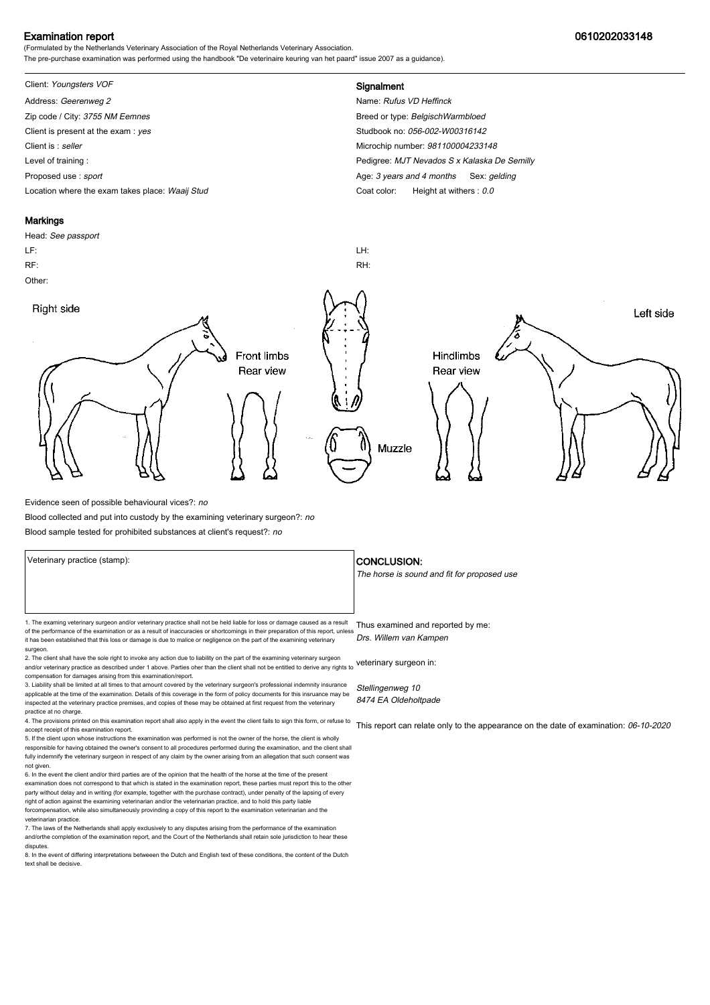### Examination report 0610202033148

(Formulated by the Netherlands Veterinary Association of the Royal Netherlands Veterinary Association. The pre-purchase examination was performed using the handbook "De veterinaire keuring van het paard" issue 2007 as a guidance).

# Client: Youngsters VOF **Signalment**

Address: Geerenweg 2 Name: Rufus VD Heffinck Zip code / City: 3755 NM Eemnes Breed or type: BelgischWarmbloed by Breed or type: BelgischWarmbloed Client is present at the exam : yes Studbook no: 056-002-W00316142 Client is : seller Microchip number: 981100004233148 Level of training : Pedigree: MJT Nevados S x Kalaska De Semilly Proposed use : sport **Age: 3** years and 4 months Sex: gelding

Location where the exam takes place: Waaij Stud Coat Color: Height at withers : 0.0

### **Markings**

Head: See passport LF: LH: RF: RH: Other: Right side Left side **Front limbs** Hindlimbs Rear view Rear view Muzzle

Evidence seen of possible behavioural vices?: no

Blood collected and put into custody by the examining veterinary surgeon?: no

Blood sample tested for prohibited substances at client's request?: no

1. The examing veterinary surgeon and/or veterinary practice shall not be held liable for loss or damage caused as a result Thus examined and reported by me: of the performance of the examination or as a result of inaccuracies or shortcomings in their preparation of this report, unless it has been established that this loss or damage is due to malice or negligence on the part of the examining veterinary

surgeon. 2. The client shall have the sole right to invoke any action due to liability on the part of the examining veterinary surgeon and/or veterinary practice as described under 1 above. Parties oher than the client shall not be entitled to derive any rights to veterinary surgeon in: compensation for damages arising from this examination/report.

3. Liability shall be limited at all times to that amount covered by the veterinary surgeon's professional indemnity insurance applicable at the time of the examination. Details of this coverage in the form of policy documents for this insruance may be inspected at the veterinary practice premises, and copies of these may be obtained at first request from the veterinary practice at no charge.

4. The provisions printed on this examination report shall also apply in the event the client fails to sign this form, or refuse to accept receipt of this examination report.

5. If the client upon whose instructions the examination was performed is not the owner of the horse, the client is wholly responsible for having obtained the owner's consent to all procedures performed during the examination, and the client shall fully indemnify the veterinary surgeon in respect of any claim by the owner arising from an allegation that such consent was not given.

6. In the event the client and/or third parties are of the opinion that the health of the horse at the time of the present examination does not correspond to that which is stated in the examination report, these parties must report this to the other party without delay and in writing (for example, together with the purchase contract), under penalty of the lapsing of every<br>right of action against the examining veterinarian and/or the veterinarian practice, and to hold forcompensation, while also simultaneously provinding a copy of this report to the examination veterinarian and th veterinarian practice.

7. The laws of the Netherlands shall apply exclusively to any disputes arising from the performance of the examination and/orthe completion of the examination report, and the Court of the Netherlands shall retain sole jurisdiction to hear these disputes.

8. In the event of differing interpretations betweeen the Dutch and English text of these conditions, the content of the Dutch text shall be decisive.

### Veterinary practice (stamp):  $\overline{\phantom{a}}$  CONCLUSION:

The horse is sound and fit for proposed use

Drs. Willem van Kampen

Stellingenweg 10 8474 EA Oldeholtpade

This report can relate only to the appearance on the date of examination: 06-10-2020